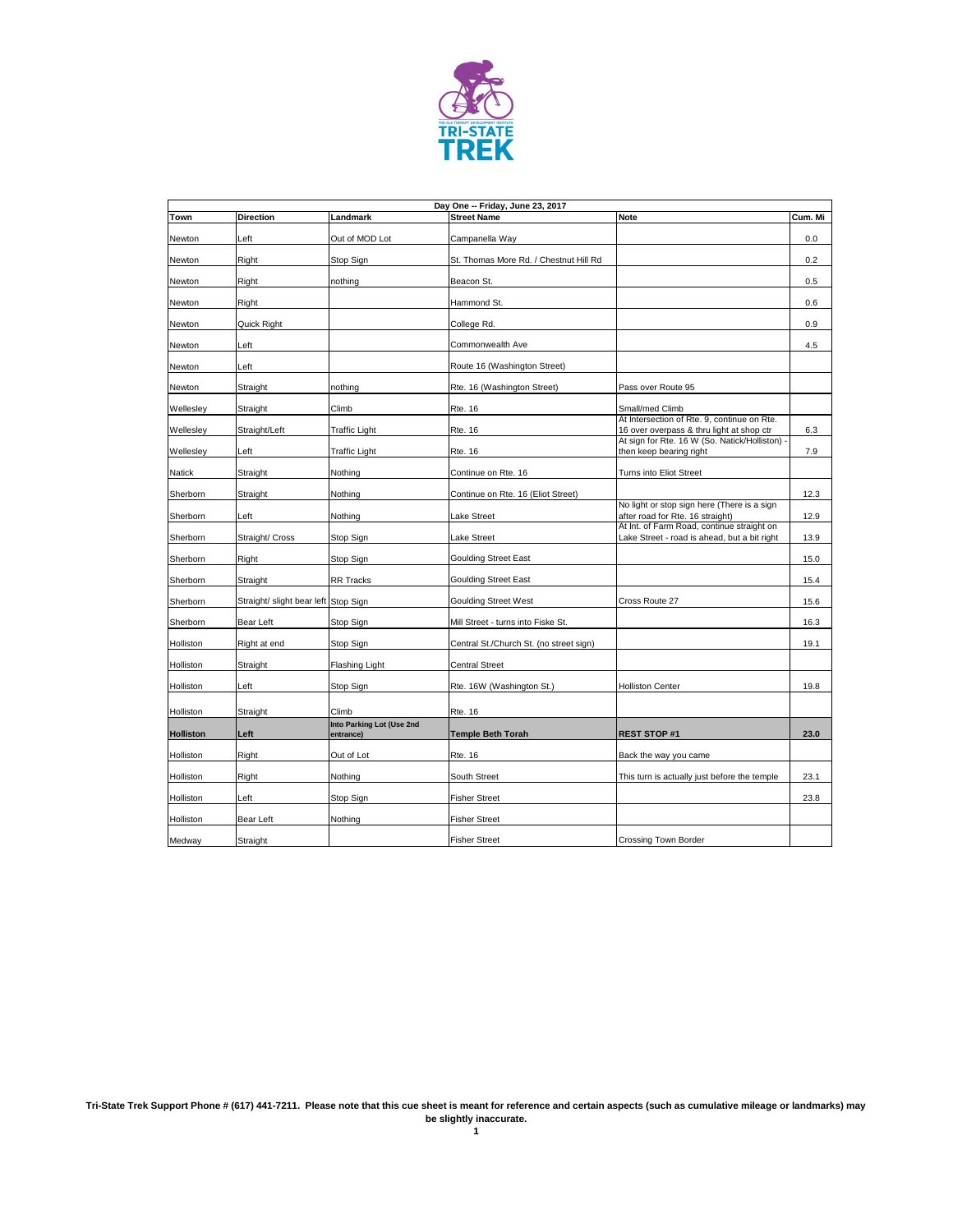

|                  |                                      |                                        | Day One -- Friday, June 23, 2017        |                                                                                             |         |
|------------------|--------------------------------------|----------------------------------------|-----------------------------------------|---------------------------------------------------------------------------------------------|---------|
| <b>Town</b>      | <b>Direction</b>                     | Landmark                               | <b>Street Name</b>                      | <b>Note</b>                                                                                 | Cum. Mi |
| Newton           | Left                                 | Out of MOD Lot                         | Campanella Way                          |                                                                                             | $0.0\,$ |
| Newton           | Right                                | Stop Sign                              | St. Thomas More Rd. / Chestnut Hill Rd  |                                                                                             | 0.2     |
| Newton           | Right                                | nothing                                | Beacon St.                              |                                                                                             | 0.5     |
| Newton           | Right                                |                                        | Hammond St.                             |                                                                                             | 0.6     |
| Newton           | Quick Right                          |                                        | College Rd.                             |                                                                                             | 0.9     |
| Newton           | Left                                 |                                        | Commonwealth Ave                        |                                                                                             | 4.5     |
| Newton           | ∟eft                                 |                                        | Route 16 (Washington Street)            |                                                                                             |         |
| Newton           | Straight                             | nothing                                | Rte. 16 (Washington Street)             | Pass over Route 95                                                                          |         |
| Wellesley        | Straight                             | Climb                                  | <b>Rte. 16</b>                          | Small/med Climb                                                                             |         |
|                  |                                      |                                        |                                         | At Intersection of Rte. 9, continue on Rte.                                                 |         |
| Wellesley        | Straight/Left                        | <b>Traffic Light</b>                   | <b>Rte. 16</b>                          | 16 over overpass & thru light at shop ctr<br>At sign for Rte. 16 W (So. Natick/Holliston) - | 6.3     |
| Wellesley        | Left                                 | <b>Traffic Light</b>                   | <b>Rte. 16</b>                          | then keep bearing right                                                                     | 7.9     |
| Natick           | Straight                             | Nothing                                | Continue on Rte. 16                     | Turns into Eliot Street                                                                     |         |
| Sherborn         | Straight                             | Nothing                                | Continue on Rte. 16 (Eliot Street)      |                                                                                             | 12.3    |
| Sherborn         | Left                                 | Nothing                                | Lake Street                             | No light or stop sign here (There is a sign<br>after road for Rte. 16 straight)             | 12.9    |
| Sherborn         | Straight/ Cross                      | Stop Sign                              | Lake Street                             | At Int. of Farm Road, continue straight on<br>Lake Street - road is ahead, but a bit right  | 13.9    |
| Sherborn         | Right                                | Stop Sign                              | <b>Goulding Street East</b>             |                                                                                             | 15.0    |
| Sherborn         | Straight                             | <b>RR Tracks</b>                       | <b>Goulding Street East</b>             |                                                                                             | 15.4    |
| Sherborn         | Straight/ slight bear left Stop Sign |                                        | <b>Goulding Street West</b>             | Cross Route 27                                                                              | 15.6    |
| Sherborn         | <b>Bear Left</b>                     | Stop Sign                              | Mill Street - turns into Fiske St.      |                                                                                             | 16.3    |
| Holliston        | Right at end                         | Stop Sign                              | Central St./Church St. (no street sign) |                                                                                             | 19.1    |
| Holliston        | Straight                             | Flashing Light                         | <b>Central Street</b>                   |                                                                                             |         |
| Holliston        | Left                                 | Stop Sign                              | Rte. 16W (Washington St.)               | <b>Holliston Center</b>                                                                     | 19.8    |
| Holliston        | Straight                             | Climb                                  | <b>Rte. 16</b>                          |                                                                                             |         |
| <b>Holliston</b> | Left                                 | Into Parking Lot (Use 2nd<br>entrance) | <b>Temple Beth Torah</b>                | <b>REST STOP #1</b>                                                                         | 23.0    |
| Holliston        | Right                                | Out of Lot                             | <b>Rte. 16</b>                          | Back the way you came                                                                       |         |
| Holliston        | Right                                | Nothing                                | South Street                            | This turn is actually just before the temple                                                | 23.1    |
| Holliston        | Left                                 | Stop Sign                              | <b>Fisher Street</b>                    |                                                                                             | 23.8    |
| Holliston        | <b>Bear Left</b>                     | Nothing                                | <b>Fisher Street</b>                    |                                                                                             |         |
| Medway           | Straight                             |                                        | <b>Fisher Street</b>                    | <b>Crossing Town Border</b>                                                                 |         |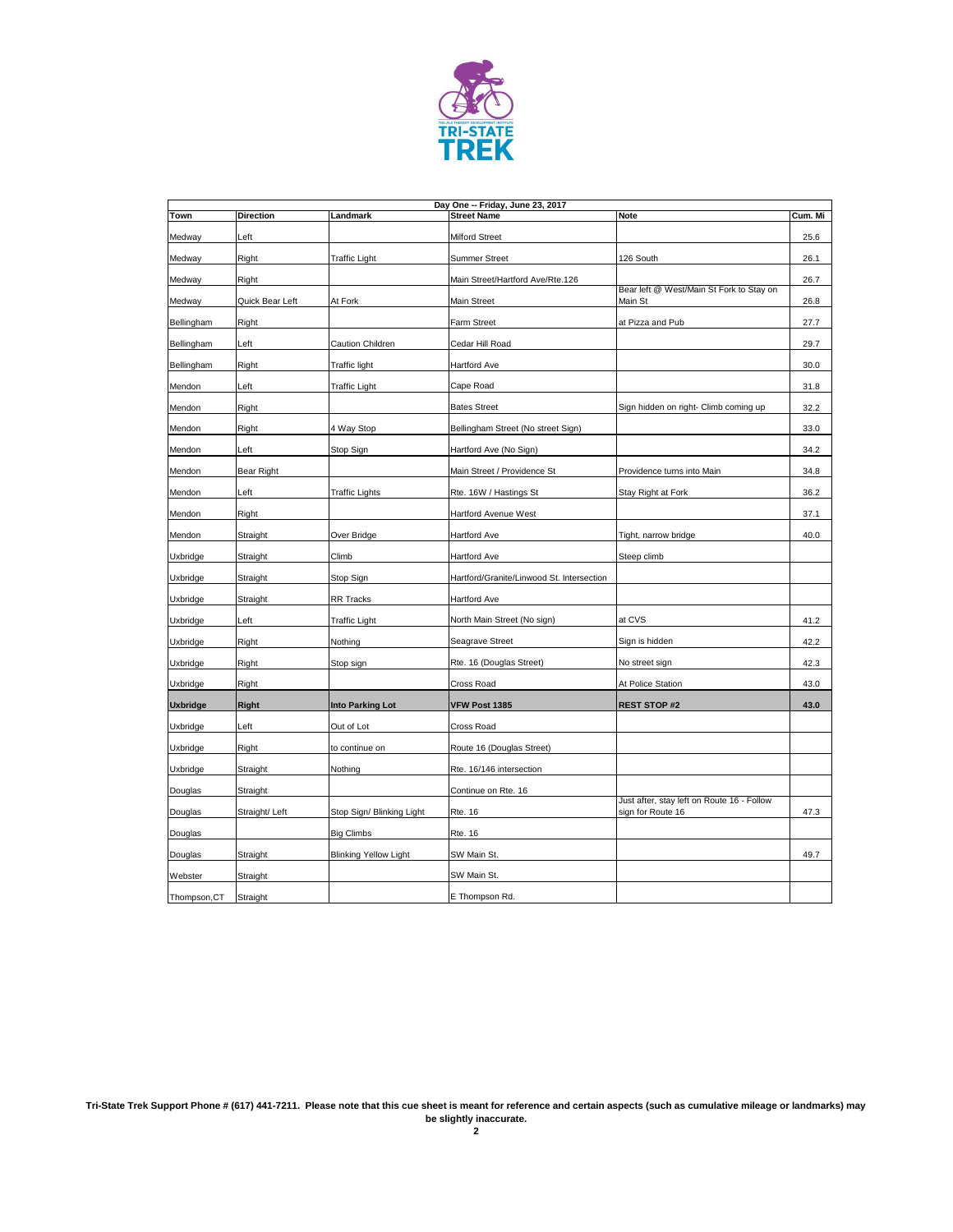

|                   | Day One -- Friday, June 23, 2017 |                              |                                           |                                                                 |         |  |  |
|-------------------|----------------------------------|------------------------------|-------------------------------------------|-----------------------------------------------------------------|---------|--|--|
| <b>Town</b>       | <b>Direction</b>                 | Landmark                     | <b>Street Name</b>                        | <b>Note</b>                                                     | Cum. Mi |  |  |
| Medway            | Left                             |                              | <b>Milford Street</b>                     |                                                                 | 25.6    |  |  |
| Medway            | Right                            | <b>Traffic Light</b>         | <b>Summer Street</b>                      | 126 South                                                       | 26.1    |  |  |
| Medway            | Right                            |                              | Main Street/Hartford Ave/Rte.126          |                                                                 | 26.7    |  |  |
| Medway            | Quick Bear Left                  | At Fork                      | Main Street                               | Bear left @ West/Main St Fork to Stay on<br>Main St             | 26.8    |  |  |
| Bellingham        | Right                            |                              | <b>Farm Street</b>                        | at Pizza and Pub                                                | 27.7    |  |  |
| Bellingham        | Left                             | Caution Children             | Cedar Hill Road                           |                                                                 | 29.7    |  |  |
| <b>Bellingham</b> | Right                            | <b>Traffic light</b>         | Hartford Ave                              |                                                                 | 30.0    |  |  |
| Mendon            | Left                             | <b>Traffic Light</b>         | Cape Road                                 |                                                                 | 31.8    |  |  |
| Mendon            | Right                            |                              | <b>Bates Street</b>                       | Sign hidden on right- Climb coming up                           | 32.2    |  |  |
| Mendon            | Right                            | 4 Way Stop                   | Bellingham Street (No street Sign)        |                                                                 | 33.0    |  |  |
| Mendon            | Left                             | Stop Sign                    | Hartford Ave (No Sign)                    |                                                                 | 34.2    |  |  |
| Mendon            | Bear Right                       |                              | Main Street / Providence St               | Providence turns into Main                                      | 34.8    |  |  |
| Mendon            | Left                             | <b>Traffic Lights</b>        | Rte. 16W / Hastings St                    | Stay Right at Fork                                              | 36.2    |  |  |
| Mendon            | Right                            |                              | <b>Hartford Avenue West</b>               |                                                                 | 37.1    |  |  |
| Mendon            | Straight                         | Over Bridge                  | <b>Hartford Ave</b>                       | Tight, narrow bridge                                            | 40.0    |  |  |
| Uxbridge          | Straight                         | Climb                        | <b>Hartford Ave</b>                       | Steep climb                                                     |         |  |  |
| Uxbridge          | Straight                         | Stop Sign                    | Hartford/Granite/Linwood St. Intersection |                                                                 |         |  |  |
| Uxbridge          | Straight                         | <b>RR Tracks</b>             | <b>Hartford Ave</b>                       |                                                                 |         |  |  |
| Uxbridge          | Left                             | <b>Traffic Light</b>         | North Main Street (No sign)               | at CVS                                                          | 41.2    |  |  |
| Uxbridge          | Right                            | Nothing                      | Seagrave Street                           | Sign is hidden                                                  | 42.2    |  |  |
| Uxbridge          | Right                            | Stop sign                    | Rte. 16 (Douglas Street)                  | No street sign                                                  | 42.3    |  |  |
| Uxbridge          | Right                            |                              | Cross Road                                | At Police Station                                               | 43.0    |  |  |
| <b>Uxbridge</b>   | <b>Right</b>                     | Into Parking Lot             | VFW Post 1385                             | <b>REST STOP #2</b>                                             | 43.0    |  |  |
| Uxbridge          | Left                             | Out of Lot                   | Cross Road                                |                                                                 |         |  |  |
| <b>Uxbridge</b>   | Right                            | to continue on               | Route 16 (Douglas Street)                 |                                                                 |         |  |  |
| Uxbridge          | Straight                         | Nothing                      | Rte. 16/146 intersection                  |                                                                 |         |  |  |
| Douglas           | Straight                         |                              | Continue on Rte. 16                       |                                                                 |         |  |  |
| Douglas           | Straight/Left                    | Stop Sign/ Blinking Light    | <b>Rte. 16</b>                            | Just after, stay left on Route 16 - Follow<br>sign for Route 16 | 47.3    |  |  |
| Douglas           |                                  | <b>Big Climbs</b>            | <b>Rte. 16</b>                            |                                                                 |         |  |  |
| Douglas           | Straight                         | <b>Blinking Yellow Light</b> | SW Main St.                               |                                                                 | 49.7    |  |  |
| Webster           | Straight                         |                              | SW Main St.                               |                                                                 |         |  |  |
| Thompson, CT      | Straight                         |                              | E Thompson Rd.                            |                                                                 |         |  |  |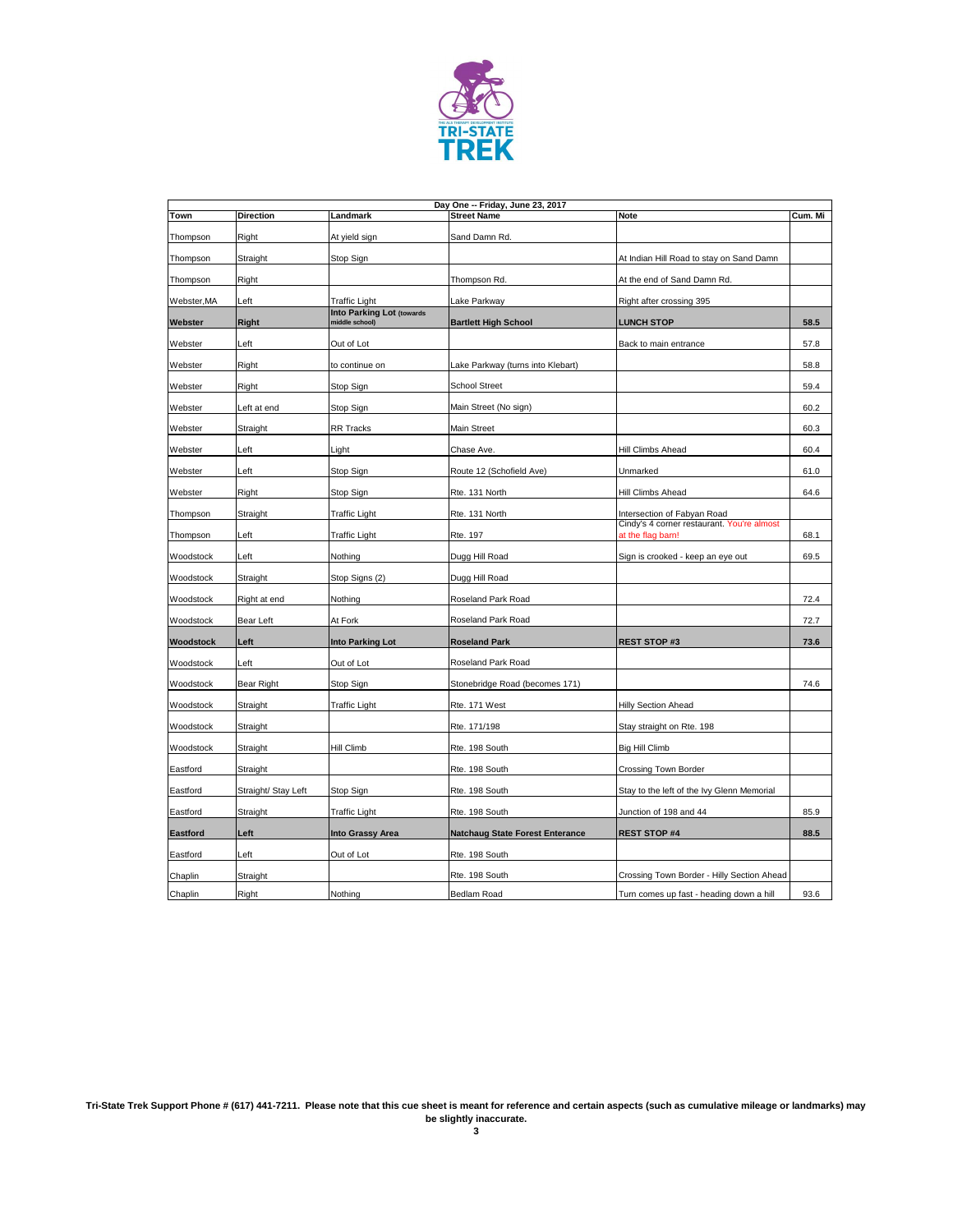

| Day One -- Friday, June 23, 2017 |                     |                                                    |                                        |                                                                 |         |  |
|----------------------------------|---------------------|----------------------------------------------------|----------------------------------------|-----------------------------------------------------------------|---------|--|
| Town                             | <b>Direction</b>    | Landmark                                           | <b>Street Name</b>                     | <b>Note</b>                                                     | Cum. Mi |  |
| Thompson                         | Right               | At yield sign                                      | Sand Damn Rd.                          |                                                                 |         |  |
| Thompson                         | Straight            | Stop Sign                                          |                                        | At Indian Hill Road to stay on Sand Damn                        |         |  |
| Thompson                         | Right               |                                                    | Thompson Rd.                           | At the end of Sand Damn Rd.                                     |         |  |
| Webster, MA                      | Left                | <b>Traffic Light</b>                               | Lake Parkway                           | Right after crossing 395                                        |         |  |
| Webster                          | <b>Right</b>        | <b>Into Parking Lot (towards</b><br>middle school) | <b>Bartlett High School</b>            | <b>LUNCH STOP</b>                                               | 58.5    |  |
| Webster                          | Left                | Out of Lot                                         |                                        | Back to main entrance                                           | 57.8    |  |
| Webster                          | Right               | to continue on                                     | Lake Parkway (turns into Klebart)      |                                                                 | 58.8    |  |
| Webster                          | Right               | Stop Sign                                          | <b>School Street</b>                   |                                                                 | 59.4    |  |
| Webster                          | Left at end         | Stop Sign                                          | Main Street (No sign)                  |                                                                 | 60.2    |  |
| Webster                          | Straight            | <b>RR Tracks</b>                                   | <b>Main Street</b>                     |                                                                 | 60.3    |  |
| Webster                          | Left                | Light                                              | Chase Ave.                             | Hill Climbs Ahead                                               | 60.4    |  |
| Webster                          | Left                | Stop Sign                                          | Route 12 (Schofield Ave)               | Unmarked                                                        | 61.0    |  |
| Webster                          | Right               | Stop Sign                                          | Rte. 131 North                         | Hill Climbs Ahead                                               | 64.6    |  |
| Thompson                         | Straight            | <b>Traffic Light</b>                               | Rte. 131 North                         | Intersection of Fabyan Road                                     |         |  |
| Thompson                         | Left                | <b>Traffic Light</b>                               | Rte. 197                               | Cindy's 4 corner restaurant. You're almost<br>at the flag barn! | 68.1    |  |
| Woodstock                        | Left                | Nothing                                            | Dugg Hill Road                         | Sign is crooked - keep an eye out                               | 69.5    |  |
| Woodstock                        | Straight            | Stop Signs (2)                                     | Dugg Hill Road                         |                                                                 |         |  |
| Woodstock                        | Right at end        | Nothing                                            | <b>Roseland Park Road</b>              |                                                                 | 72.4    |  |
| Woodstock                        | <b>Bear Left</b>    | At Fork                                            | <b>Roseland Park Road</b>              |                                                                 | 72.7    |  |
| <b>Woodstock</b>                 | Left                | <b>Into Parking Lot</b>                            | <b>Roseland Park</b>                   | <b>REST STOP #3</b>                                             | 73.6    |  |
| Woodstock                        | Left                | Out of Lot                                         | Roseland Park Road                     |                                                                 |         |  |
| Woodstock                        | <b>Bear Right</b>   | Stop Sign                                          | Stonebridge Road (becomes 171)         |                                                                 | 74.6    |  |
| Woodstock                        | Straight            | <b>Traffic Light</b>                               | Rte. 171 West                          | <b>Hilly Section Ahead</b>                                      |         |  |
| Woodstock                        | Straight            |                                                    | Rte. 171/198                           | Stay straight on Rte. 198                                       |         |  |
| Woodstock                        | Straight            | <b>Hill Climb</b>                                  | Rte. 198 South                         | <b>Big Hill Climb</b>                                           |         |  |
| Eastford                         | Straight            |                                                    | Rte. 198 South                         | Crossing Town Border                                            |         |  |
| Eastford                         | Straight/ Stay Left | Stop Sign                                          | Rte. 198 South                         | Stay to the left of the Ivy Glenn Memorial                      |         |  |
| Eastford                         | Straight            | <b>Traffic Light</b>                               | Rte. 198 South                         | Junction of 198 and 44                                          | 85.9    |  |
| <b>Eastford</b>                  | Left                | Into Grassy Area                                   | <b>Natchaug State Forest Enterance</b> | <b>REST STOP #4</b>                                             | 88.5    |  |
| Eastford                         | Left                | Out of Lot                                         | Rte. 198 South                         |                                                                 |         |  |
| Chaplin                          | Straight            |                                                    | Rte. 198 South                         | Crossing Town Border - Hilly Section Ahead                      |         |  |
| Chaplin                          | Right               | Nothing                                            | Bedlam Road                            | Turn comes up fast - heading down a hill                        | 93.6    |  |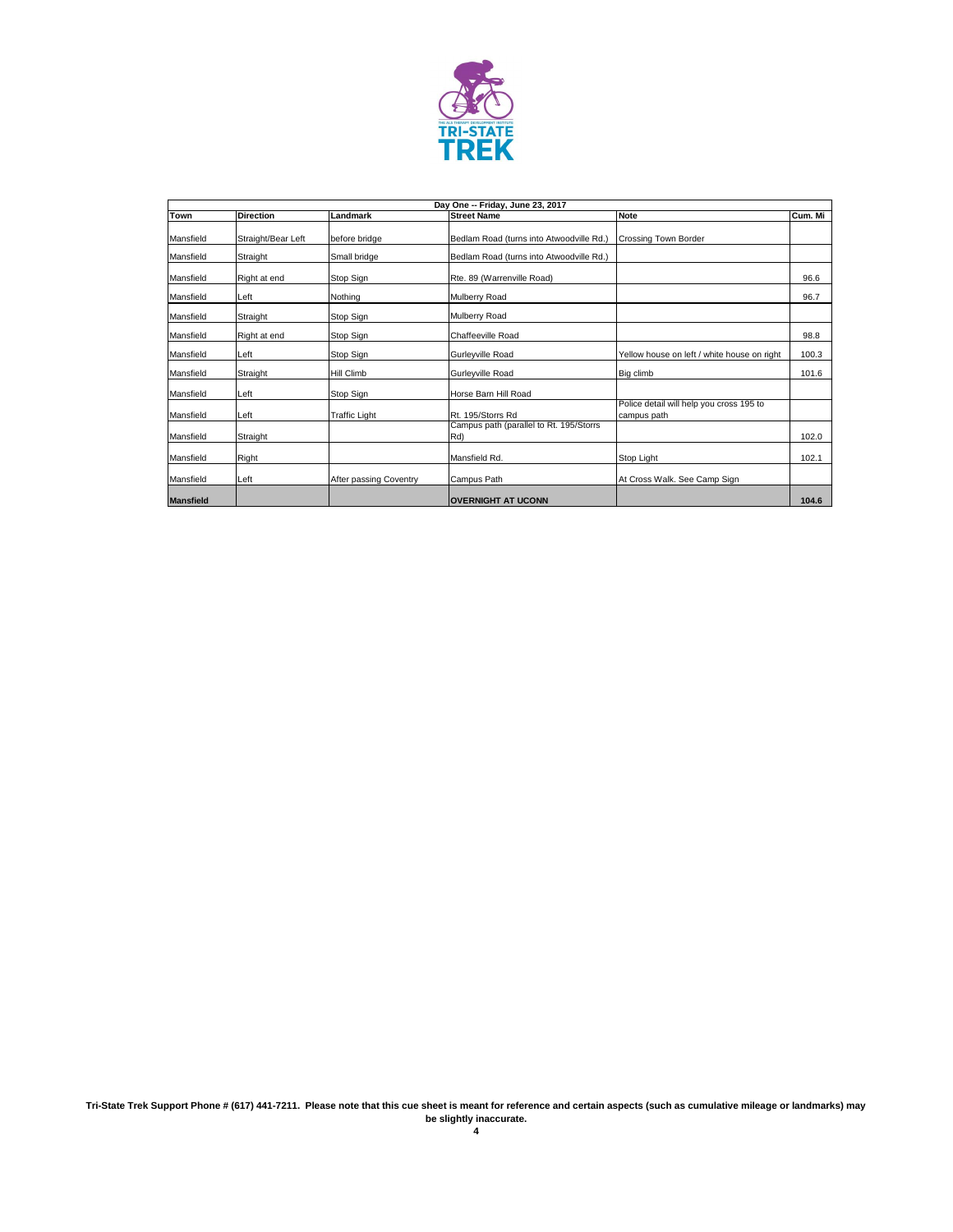

|                  |                    |                        | Day One -- Friday, June 23, 2017               |                                                         |         |
|------------------|--------------------|------------------------|------------------------------------------------|---------------------------------------------------------|---------|
| <b>Town</b>      | <b>Direction</b>   | Landmark               | <b>Street Name</b>                             | <b>Note</b>                                             | Cum. Mi |
| Mansfield        | Straight/Bear Left | before bridge          | Bedlam Road (turns into Atwoodville Rd.)       | <b>Crossing Town Border</b>                             |         |
| Mansfield        | Straight           | Small bridge           | Bedlam Road (turns into Atwoodville Rd.)       |                                                         |         |
| Mansfield        | Right at end       | Stop Sign              | Rte. 89 (Warrenville Road)                     |                                                         | 96.6    |
| Mansfield        | Left               | Nothing                | Mulberry Road                                  |                                                         | 96.7    |
| Mansfield        | Straight           | Stop Sign              | Mulberry Road                                  |                                                         |         |
| Mansfield        | Right at end       | Stop Sign              | <b>Chaffeeville Road</b>                       |                                                         | 98.8    |
| Mansfield        | Left               | Stop Sign              | Gurleyville Road                               | Yellow house on left / white house on right             | 100.3   |
| Mansfield        | Straight           | <b>Hill Climb</b>      | Gurleyville Road                               | Big climb                                               | 101.6   |
| Mansfield        | Left               | Stop Sign              | Horse Barn Hill Road                           |                                                         |         |
| Mansfield        | Left               | <b>Traffic Light</b>   | Rt. 195/Storrs Rd                              | Police detail will help you cross 195 to<br>campus path |         |
| Mansfield        | Straight           |                        | Campus path (parallel to Rt. 195/Storrs<br>Rd) |                                                         | 102.0   |
| Mansfield        | Right              |                        | Mansfield Rd.                                  | Stop Light                                              | 102.1   |
| Mansfield        | Left               | After passing Coventry | Campus Path                                    | At Cross Walk. See Camp Sign                            |         |
| <b>Mansfield</b> |                    |                        | IOVERNIGHT AT UCONN                            |                                                         | 104.6   |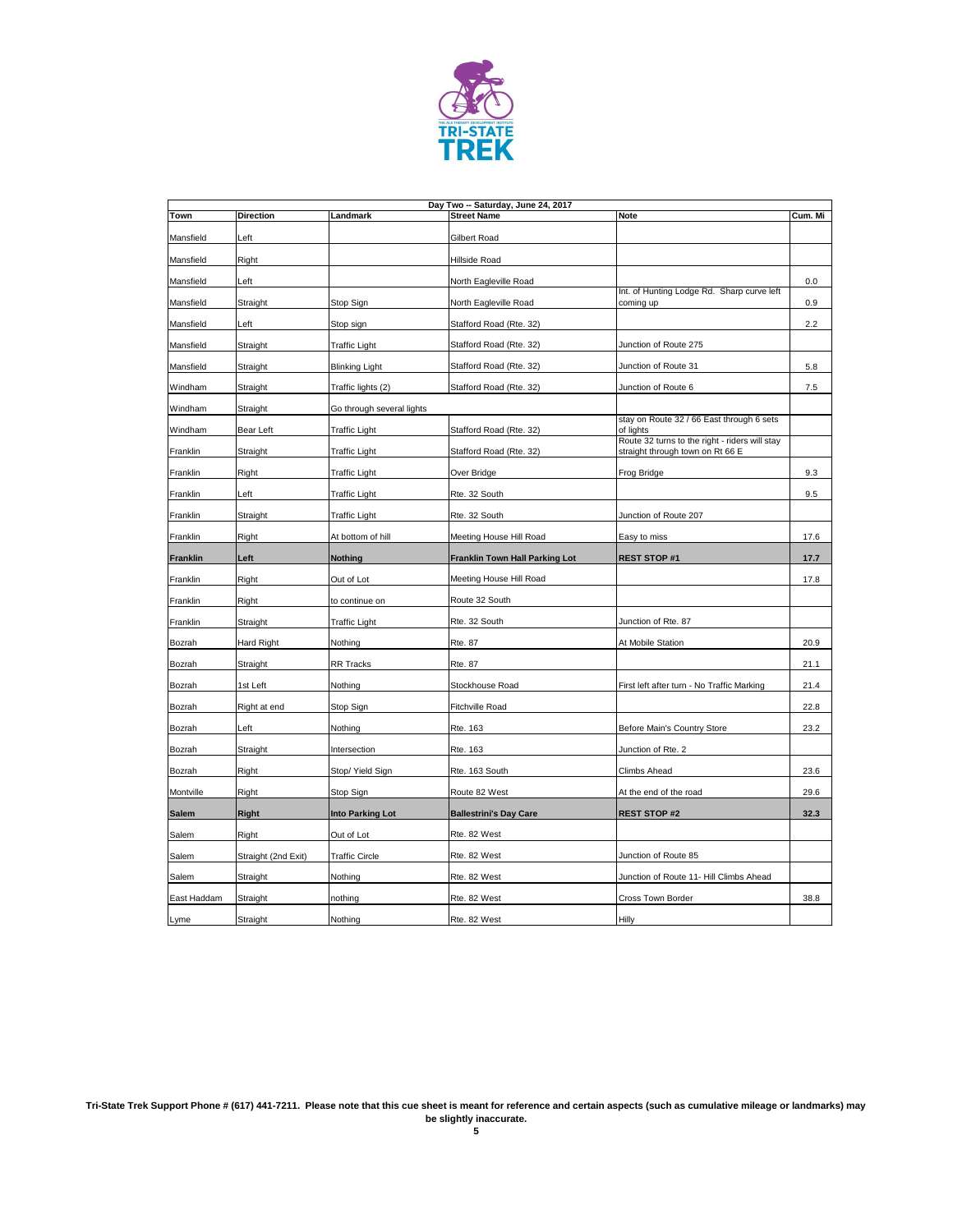

|                 |                     |                           | Day Two -- Saturday, June 24, 2017 |                                                                                    |         |
|-----------------|---------------------|---------------------------|------------------------------------|------------------------------------------------------------------------------------|---------|
| <b>Town</b>     | <b>Direction</b>    | Landmark                  | <b>Street Name</b>                 | <b>Note</b>                                                                        | Cum. Mi |
| Mansfield       | Left                |                           | <b>Gilbert Road</b>                |                                                                                    |         |
| Mansfield       | Right               |                           | Hillside Road                      |                                                                                    |         |
| Mansfield       | Left                |                           | North Eagleville Road              |                                                                                    | 0.0     |
| Mansfield       | Straight            | Stop Sign                 | North Eagleville Road              | Int. of Hunting Lodge Rd. Sharp curve left<br>coming up                            | 0.9     |
| Mansfield       | Left                | Stop sign                 | Stafford Road (Rte. 32)            |                                                                                    | 2.2     |
| Mansfield       | Straight            | <b>Traffic Light</b>      | Stafford Road (Rte. 32)            | Junction of Route 275                                                              |         |
| Mansfield       | Straight            | <b>Blinking Light</b>     | Stafford Road (Rte. 32)            | Junction of Route 31                                                               | 5.8     |
| Windham         | Straight            | Traffic lights (2)        | Stafford Road (Rte. 32)            | Junction of Route 6                                                                | 7.5     |
| Windham         | Straight            | Go through several lights |                                    |                                                                                    |         |
| Windham         | <b>Bear Left</b>    | <b>Traffic Light</b>      | Stafford Road (Rte. 32)            | stay on Route 32 / 66 East through 6 sets<br>of lights                             |         |
| Franklin        | Straight            | <b>Traffic Light</b>      | Stafford Road (Rte. 32)            | Route 32 turns to the right - riders will stay<br>straight through town on Rt 66 E |         |
| Franklin        | Right               | <b>Traffic Light</b>      | Over Bridge                        | Frog Bridge                                                                        | 9.3     |
| Franklin        | Left                | <b>Traffic Light</b>      | Rte. 32 South                      |                                                                                    | 9.5     |
| Franklin        | Straight            | <b>Traffic Light</b>      | Rte. 32 South                      | Junction of Route 207                                                              |         |
| Franklin        | Right               | At bottom of hill         | Meeting House Hill Road            | Easy to miss                                                                       | 17.6    |
| <b>Franklin</b> | Left                | <b>Nothing</b>            | Franklin Town Hall Parking Lot     | <b>REST STOP #1</b>                                                                | 17.7    |
| Franklin        | Right               | Out of Lot                | Meeting House Hill Road            |                                                                                    | 17.8    |
| Franklin        | Right               | to continue on            | Route 32 South                     |                                                                                    |         |
| Franklin        | Straight            | <b>Traffic Light</b>      | Rte. 32 South                      | Junction of Rte. 87                                                                |         |
| Bozrah          | <b>Hard Right</b>   | Nothing                   | <b>Rte. 87</b>                     | At Mobile Station                                                                  | 20.9    |
| Bozrah          | Straight            | <b>RR Tracks</b>          | <b>Rte. 87</b>                     |                                                                                    | 21.1    |
| Bozrah          | 1st Left            | Nothing                   | Stockhouse Road                    | First left after turn - No Traffic Marking                                         | 21.4    |
| <b>Bozrah</b>   | Right at end        | Stop Sign                 | Fitchville Road                    |                                                                                    | 22.8    |
| Bozrah          | Left                | Nothing                   | Rte. 163                           | Before Main's Country Store                                                        | 23.2    |
| Bozrah          | Straight            | Intersection              | Rte. 163                           | Junction of Rte. 2                                                                 |         |
| Bozrah          | Right               | Stop/Yield Sign           | Rte. 163 South                     | Climbs Ahead                                                                       | 23.6    |
| Montville       | Right               | Stop Sign                 | Route 82 West                      | At the end of the road                                                             | 29.6    |
| <b>Salem</b>    | <b>Right</b>        | Into Parking Lot          | <b>Ballestrini's Day Care</b>      | <b>REST STOP #2</b>                                                                | 32.3    |
| Salem           | Right               | Out of Lot                | Rte. 82 West                       |                                                                                    |         |
| <b>Salem</b>    | Straight (2nd Exit) | <b>Traffic Circle</b>     | Rte. 82 West                       | Junction of Route 85                                                               |         |
| Salem           | Straight            | Nothing                   | Rte. 82 West                       | Junction of Route 11- Hill Climbs Ahead                                            |         |
| East Haddam     | Straight            | nothing                   | Rte. 82 West                       | Cross Town Border                                                                  | 38.8    |
| Lyme            | Straight            | Nothing                   | Rte. 82 West                       | <b>Hilly</b>                                                                       |         |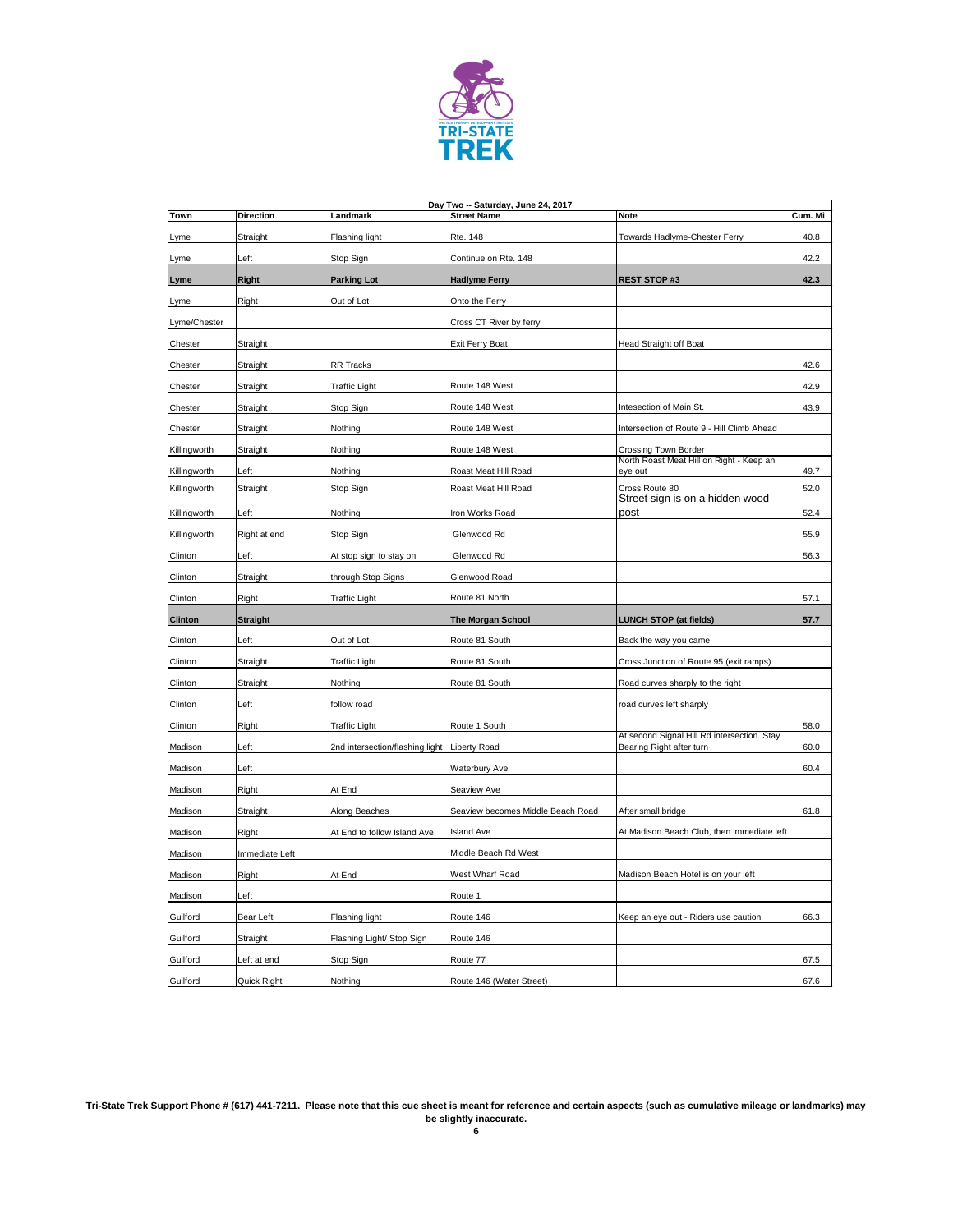

|                | Day Two -- Saturday, June 24, 2017 |                                 |                                   |                                                                  |         |  |  |
|----------------|------------------------------------|---------------------------------|-----------------------------------|------------------------------------------------------------------|---------|--|--|
| Town           | <b>Direction</b>                   | Landmark                        | <b>Street Name</b>                | <b>Note</b>                                                      | Cum. Mi |  |  |
| Lyme           | Straight                           | Flashing light                  | Rte. 148                          | Towards Hadlyme-Chester Ferry                                    | 40.8    |  |  |
| Lyme           | Left                               | Stop Sign                       | Continue on Rte. 148              |                                                                  | 42.2    |  |  |
| Lyme           | <b>Right</b>                       | <b>Parking Lot</b>              | <b>Hadlyme Ferry</b>              | <b>REST STOP #3</b>                                              | 42.3    |  |  |
| Lyme           | Right                              | Out of Lot                      | Onto the Ferry                    |                                                                  |         |  |  |
| Lyme/Chester   |                                    |                                 | Cross CT River by ferry           |                                                                  |         |  |  |
| Chester        | Straight                           |                                 | Exit Ferry Boat                   | Head Straight off Boat                                           |         |  |  |
| Chester        | Straight                           | RR Tracks                       |                                   |                                                                  | 42.6    |  |  |
| Chester        | Straight                           | <b>Traffic Light</b>            | Route 148 West                    |                                                                  | 42.9    |  |  |
| Chester        | Straight                           | Stop Sign                       | Route 148 West                    | Intesection of Main St.                                          | 43.9    |  |  |
| Chester        | Straight                           | Nothing                         | Route 148 West                    | Intersection of Route 9 - Hill Climb Ahead                       |         |  |  |
| Killingworth   | Straight                           | Nothing                         | Route 148 West                    | Crossing Town Border<br>North Roast Meat Hill on Right - Keep an |         |  |  |
| Killingworth   | Left                               | Nothing                         | Roast Meat Hill Road              | eye out                                                          | 49.7    |  |  |
| Killingworth   | Straight                           | Stop Sign                       | Roast Meat Hill Road              | Cross Route 80<br>Street sign is on a hidden wood                | 52.0    |  |  |
| Killingworth   | Left                               | Nothing                         | Iron Works Road                   | post                                                             | 52.4    |  |  |
| Killingworth   | Right at end                       | Stop Sign                       | Glenwood Rd                       |                                                                  | 55.9    |  |  |
| Clinton        | Left                               | At stop sign to stay on         | Glenwood Rd                       |                                                                  | 56.3    |  |  |
| Clinton        | Straight                           | through Stop Signs              | Glenwood Road                     |                                                                  |         |  |  |
| Clinton        | Right                              | <b>Traffic Light</b>            | Route 81 North                    |                                                                  | 57.1    |  |  |
| <b>Clinton</b> | <b>Straight</b>                    |                                 | <b>The Morgan School</b>          | <b>LUNCH STOP (at fields)</b>                                    | 57.7    |  |  |
| Clinton        | Left                               | Out of Lot                      | Route 81 South                    | Back the way you came                                            |         |  |  |
| Clinton        | Straight                           | <b>Traffic Light</b>            | Route 81 South                    | Cross Junction of Route 95 (exit ramps)                          |         |  |  |
| Clinton        | Straight                           | Nothing                         | Route 81 South                    | Road curves sharply to the right                                 |         |  |  |
| Clinton        | Left                               | follow road                     |                                   | road curves left sharply                                         |         |  |  |
| Clinton        | Right                              | <b>Traffic Light</b>            | Route 1 South                     | At second Signal Hill Rd intersection. Stay                      | 58.0    |  |  |
| Madison        | Left                               | 2nd intersection/flashing light | <b>Liberty Road</b>               | Bearing Right after turn                                         | 60.0    |  |  |
| Madison        | Left                               |                                 | <b>Waterbury Ave</b>              |                                                                  | 60.4    |  |  |
| Madison        | Right                              | At End                          | Seaview Ave                       |                                                                  |         |  |  |
| Madison        | Straight                           | Along Beaches                   | Seaview becomes Middle Beach Road | After small bridge                                               | 61.8    |  |  |
| Madison        | Right                              | At End to follow Island Ave.    | <b>Island Ave</b>                 | At Madison Beach Club, then immediate left                       |         |  |  |
| Madison        | Immediate Left                     |                                 | Middle Beach Rd West              |                                                                  |         |  |  |
| Madison        | Right                              | At End                          | West Wharf Road                   | Madison Beach Hotel is on your left                              |         |  |  |
| Madison        | Left                               |                                 | Route 1                           |                                                                  |         |  |  |
| Guilford       | <b>Bear Left</b>                   | Flashing light                  | Route 146                         | Keep an eye out - Riders use caution                             | 66.3    |  |  |
| Guilford       | Straight                           | Flashing Light/ Stop Sign       | Route 146                         |                                                                  |         |  |  |
| Guilford       | Left at end                        | Stop Sign                       | Route 77                          |                                                                  | 67.5    |  |  |

| Guilford | Riaht<br><b>Juick</b> | <b>INothing</b> | Street)<br>Water!<br>46<br><b>I</b> Route<br>T 1.J | . |
|----------|-----------------------|-----------------|----------------------------------------------------|---|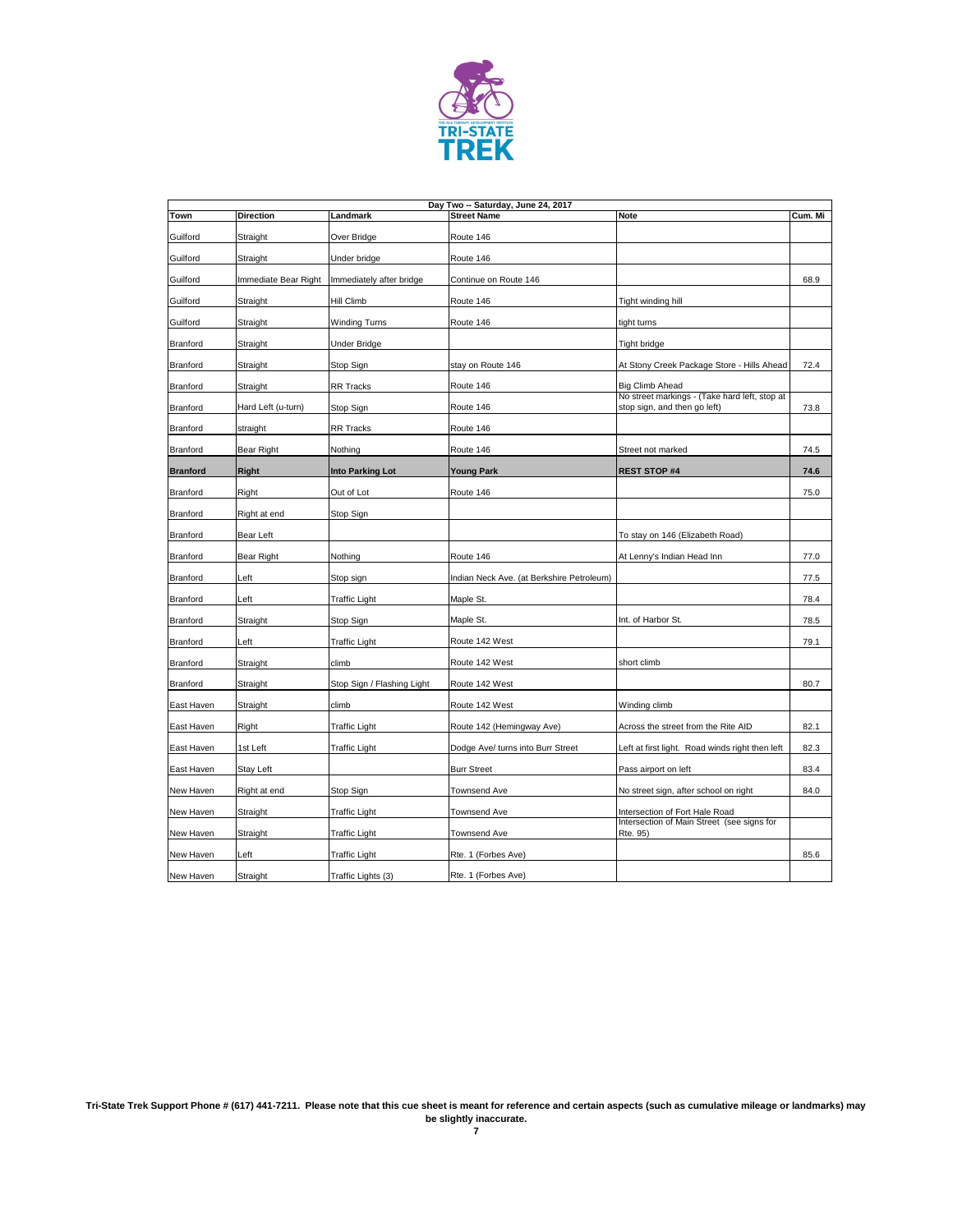

| Day Two -- Saturday, June 24, 2017 |                      |                            |                                           |                                                                               |         |  |
|------------------------------------|----------------------|----------------------------|-------------------------------------------|-------------------------------------------------------------------------------|---------|--|
| <b>Town</b>                        | <b>Direction</b>     | Landmark                   | <b>Street Name</b>                        | <b>Note</b>                                                                   | Cum. Mi |  |
| Guilford                           | Straight             | Over Bridge                | Route 146                                 |                                                                               |         |  |
| Guilford                           | Straight             | Under bridge               | Route 146                                 |                                                                               |         |  |
| Guilford                           | Immediate Bear Right | Immediately after bridge   | Continue on Route 146                     |                                                                               | 68.9    |  |
| Guilford                           | Straight             | <b>Hill Climb</b>          | Route 146                                 | Tight winding hill                                                            |         |  |
| Guilford                           | Straight             | <b>Winding Turns</b>       | Route 146                                 | tight turns                                                                   |         |  |
| <b>Branford</b>                    | Straight             | <b>Under Bridge</b>        |                                           | Tight bridge                                                                  |         |  |
| <b>Branford</b>                    | Straight             | Stop Sign                  | stay on Route 146                         | At Stony Creek Package Store - Hills Ahead                                    | 72.4    |  |
| <b>Branford</b>                    | Straight             | <b>RR Tracks</b>           | Route 146                                 | <b>Big Climb Ahead</b>                                                        |         |  |
| <b>Branford</b>                    | Hard Left (u-turn)   | Stop Sign                  | Route 146                                 | No street markings - (Take hard left, stop at<br>stop sign, and then go left) | 73.8    |  |
| <b>Branford</b>                    | straight             | <b>RR Tracks</b>           | Route 146                                 |                                                                               |         |  |
| <b>Branford</b>                    | <b>Bear Right</b>    | Nothing                    | Route 146                                 | Street not marked                                                             | 74.5    |  |
| <b>Branford</b>                    | <b>Right</b>         | <b>Into Parking Lot</b>    | <b>Young Park</b>                         | <b>REST STOP #4</b>                                                           | 74.6    |  |
| <b>Branford</b>                    | Right                | Out of Lot                 | Route 146                                 |                                                                               | 75.0    |  |
| <b>Branford</b>                    | Right at end         | Stop Sign                  |                                           |                                                                               |         |  |
| <b>Branford</b>                    | <b>Bear Left</b>     |                            |                                           | To stay on 146 (Elizabeth Road)                                               |         |  |
| <b>Branford</b>                    | <b>Bear Right</b>    | Nothing                    | Route 146                                 | At Lenny's Indian Head Inn                                                    | 77.0    |  |
| <b>Branford</b>                    | Left                 | Stop sign                  | Indian Neck Ave. (at Berkshire Petroleum) |                                                                               | 77.5    |  |
| <b>Branford</b>                    | Left                 | <b>Traffic Light</b>       | Maple St.                                 |                                                                               | 78.4    |  |
| <b>Branford</b>                    | Straight             | Stop Sign                  | Maple St.                                 | Int. of Harbor St.                                                            | 78.5    |  |
| <b>Branford</b>                    | Left                 | <b>Traffic Light</b>       | Route 142 West                            |                                                                               | 79.1    |  |
| <b>Branford</b>                    | Straight             | climb                      | Route 142 West                            | short climb                                                                   |         |  |
| <b>Branford</b>                    | Straight             | Stop Sign / Flashing Light | Route 142 West                            |                                                                               | 80.7    |  |
| East Haven                         | Straight             | climb                      | Route 142 West                            | Winding climb                                                                 |         |  |
| East Haven                         | <b>Right</b>         | <b>Traffic Light</b>       | Route 142 (Hemingway Ave)                 | Across the street from the Rite AID                                           | 82.1    |  |
| East Haven                         | 1st Left             | <b>Traffic Light</b>       | Dodge Ave/ turns into Burr Street         | Left at first light. Road winds right then left                               | 82.3    |  |
| East Haven                         | <b>Stay Left</b>     |                            | <b>Burr Street</b>                        | Pass airport on left                                                          | 83.4    |  |
| New Haven                          | Right at end         | Stop Sign                  | <b>Townsend Ave</b>                       | No street sign, after school on right                                         | 84.0    |  |
| New Haven                          | Straight             | <b>Traffic Light</b>       | <b>Townsend Ave</b>                       | Intersection of Fort Hale Road                                                |         |  |
| New Haven                          | Straight             | <b>Traffic Light</b>       | Townsend Ave                              | Intersection of Main Street (see signs for<br>Rte. 95)                        |         |  |
| New Haven                          | Left                 | <b>Traffic Light</b>       | Rte. 1 (Forbes Ave)                       |                                                                               | 85.6    |  |
| New Haven                          | Straight             | Traffic Lights (3)         | Rte. 1 (Forbes Ave)                       |                                                                               |         |  |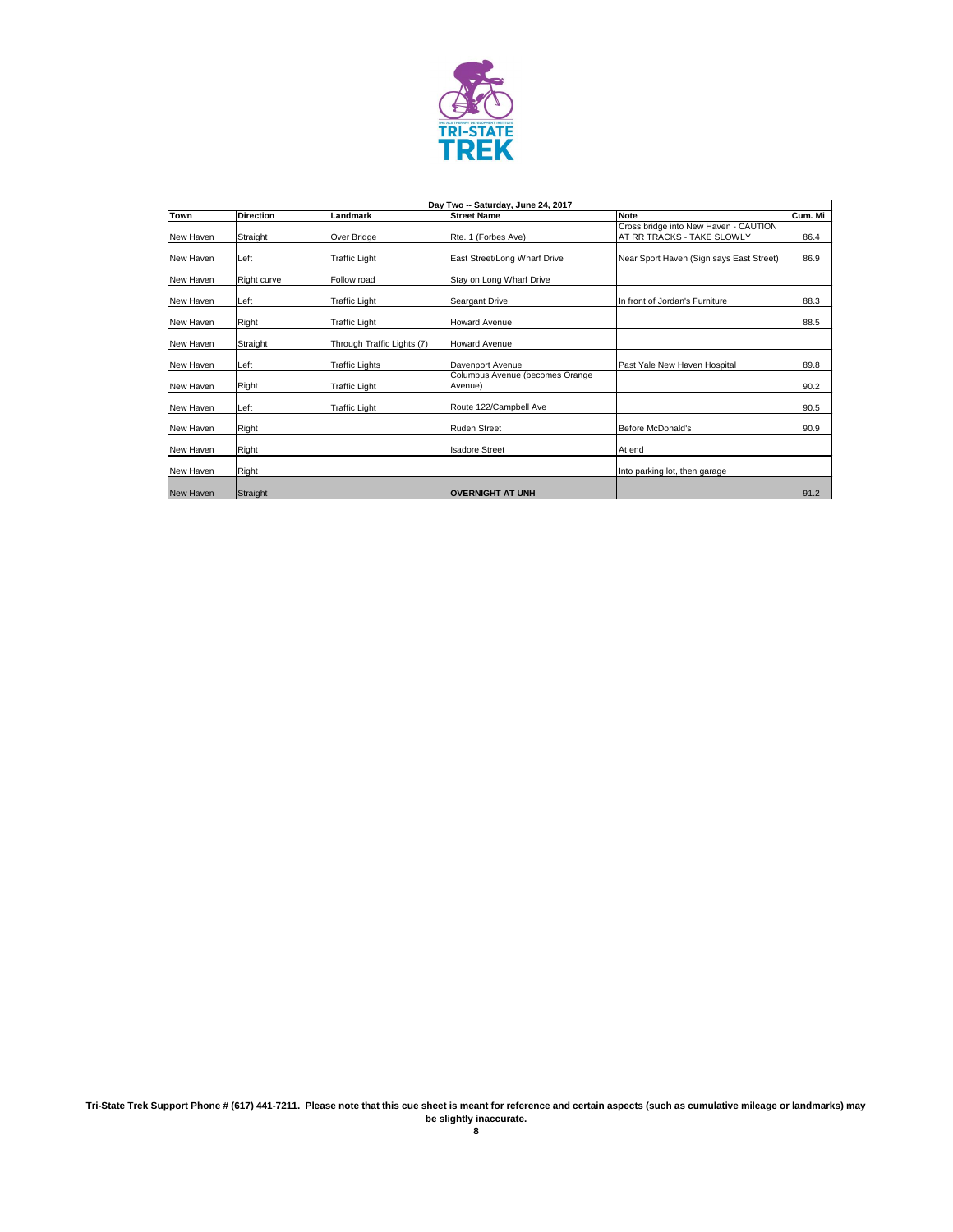

|                  | Day Two -- Saturday, June 24, 2017 |                            |                                            |                                                                     |         |  |  |  |
|------------------|------------------------------------|----------------------------|--------------------------------------------|---------------------------------------------------------------------|---------|--|--|--|
| <b>Town</b>      | <b>Direction</b>                   | Landmark                   | <b>Street Name</b>                         | <b>Note</b>                                                         | Cum. Mi |  |  |  |
| New Haven        | Straight                           | Over Bridge                | Rte. 1 (Forbes Ave)                        | Cross bridge into New Haven - CAUTION<br>AT RR TRACKS - TAKE SLOWLY | 86.4    |  |  |  |
| New Haven        | Left                               | <b>Traffic Light</b>       | East Street/Long Wharf Drive               | Near Sport Haven (Sign says East Street)                            | 86.9    |  |  |  |
| New Haven        | <b>Right curve</b>                 | Follow road                | Stay on Long Wharf Drive                   |                                                                     |         |  |  |  |
| New Haven        | Left                               | <b>Traffic Light</b>       | <b>Seargant Drive</b>                      | In front of Jordan's Furniture                                      | 88.3    |  |  |  |
| New Haven        | Right                              | <b>Traffic Light</b>       | <b>Howard Avenue</b>                       |                                                                     | 88.5    |  |  |  |
| New Haven        | Straight                           | Through Traffic Lights (7) | <b>Howard Avenue</b>                       |                                                                     |         |  |  |  |
| New Haven        | Left                               | <b>Traffic Lights</b>      | Davenport Avenue                           | Past Yale New Haven Hospital                                        | 89.8    |  |  |  |
| New Haven        | Right                              | <b>Traffic Light</b>       | Columbus Avenue (becomes Orange<br>Avenue) |                                                                     | 90.2    |  |  |  |
| New Haven        | Left                               | <b>Traffic Light</b>       | Route 122/Campbell Ave                     |                                                                     | 90.5    |  |  |  |
| New Haven        | Right                              |                            | <b>Ruden Street</b>                        | Before McDonald's                                                   | 90.9    |  |  |  |
| New Haven        | Right                              |                            | <b>Isadore Street</b>                      | At end                                                              |         |  |  |  |
| New Haven        | Right                              |                            |                                            | Into parking lot, then garage                                       |         |  |  |  |
| <b>New Haven</b> | Straight                           |                            | <b>OVERNIGHT AT UNH</b>                    |                                                                     | 91.2    |  |  |  |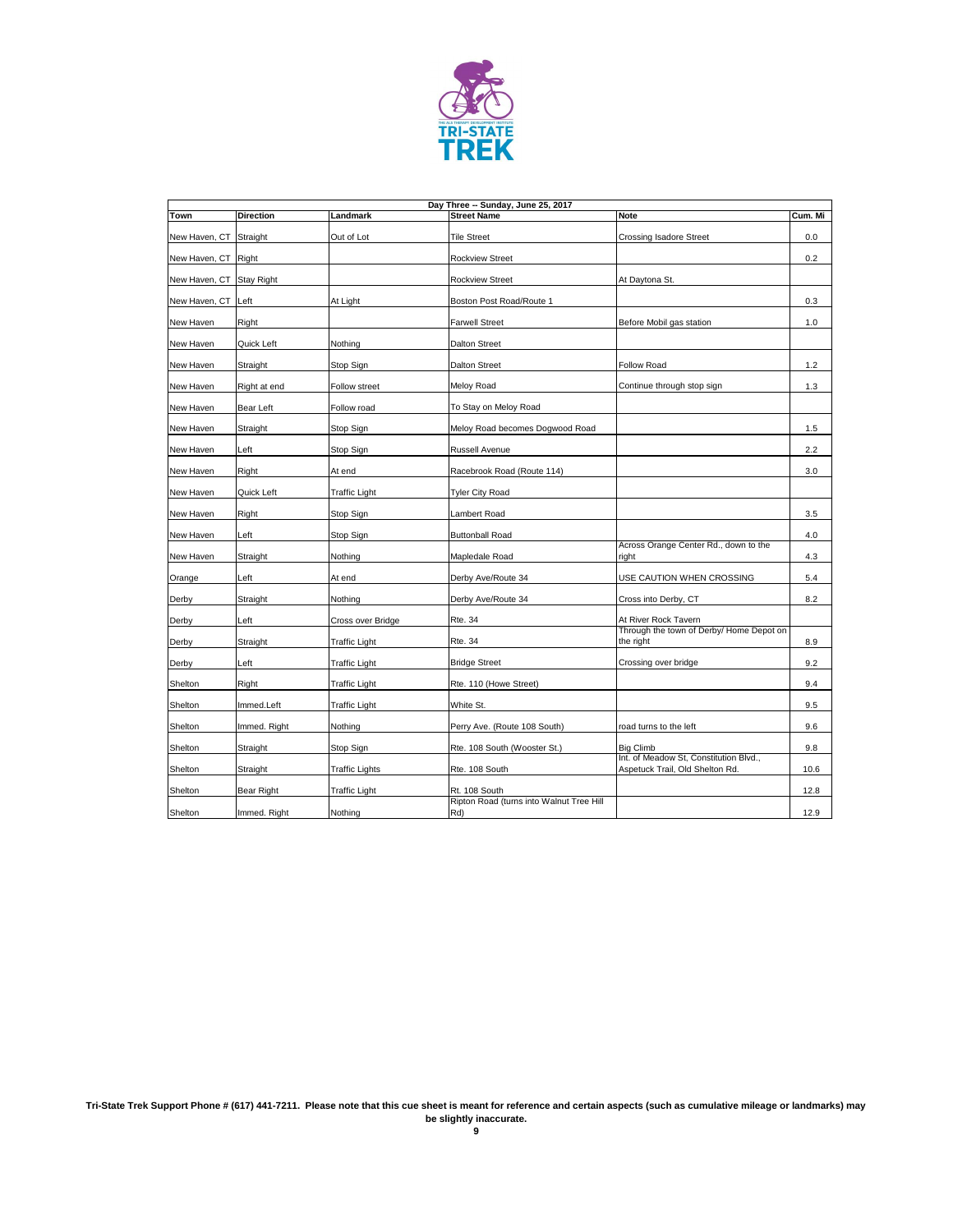

|                          | Day Three -- Sunday, June 25, 2017 |                       |                                                 |                                                                           |         |  |  |  |
|--------------------------|------------------------------------|-----------------------|-------------------------------------------------|---------------------------------------------------------------------------|---------|--|--|--|
| <b>Town</b>              | <b>Direction</b>                   | Landmark              | <b>Street Name</b>                              | <b>Note</b>                                                               | Cum. Mi |  |  |  |
| New Haven, CT Straight   |                                    | Out of Lot            | <b>Tile Street</b>                              | <b>Crossing Isadore Street</b>                                            | 0.0     |  |  |  |
| New Haven, CT Right      |                                    |                       | <b>Rockview Street</b>                          |                                                                           | 0.2     |  |  |  |
| New Haven, CT Stay Right |                                    |                       | <b>Rockview Street</b>                          | At Daytona St.                                                            |         |  |  |  |
| New Haven, CT Left       |                                    | At Light              | Boston Post Road/Route 1                        |                                                                           | 0.3     |  |  |  |
| New Haven                | Right                              |                       | <b>Farwell Street</b>                           | Before Mobil gas station                                                  | 1.0     |  |  |  |
| New Haven                | Quick Left                         | Nothing               | <b>Dalton Street</b>                            |                                                                           |         |  |  |  |
| New Haven                | Straight                           | Stop Sign             | <b>Dalton Street</b>                            | <b>Follow Road</b>                                                        | 1.2     |  |  |  |
| New Haven                | Right at end                       | Follow street         | Meloy Road                                      | Continue through stop sign                                                | 1.3     |  |  |  |
| New Haven                | <b>Bear Left</b>                   | Follow road           | To Stay on Meloy Road                           |                                                                           |         |  |  |  |
| New Haven                | Straight                           | Stop Sign             | Meloy Road becomes Dogwood Road                 |                                                                           | 1.5     |  |  |  |
| New Haven                | Left                               | Stop Sign             | <b>Russell Avenue</b>                           |                                                                           | 2.2     |  |  |  |
| New Haven                | Right                              | At end                | Racebrook Road (Route 114)                      |                                                                           | 3.0     |  |  |  |
| New Haven                | Quick Left                         | <b>Traffic Light</b>  | <b>Tyler City Road</b>                          |                                                                           |         |  |  |  |
| New Haven                | Right                              | Stop Sign             | Lambert Road                                    |                                                                           | 3.5     |  |  |  |
| New Haven                | Left                               | Stop Sign             | <b>Buttonball Road</b>                          |                                                                           | 4.0     |  |  |  |
| New Haven                | Straight                           | Nothing               | Mapledale Road                                  | Across Orange Center Rd., down to the<br>right                            | 4.3     |  |  |  |
| Orange                   | Left                               | At end                | Derby Ave/Route 34                              | USE CAUTION WHEN CROSSING                                                 | 5.4     |  |  |  |
| Derby                    | Straight                           | Nothing               | Derby Ave/Route 34                              | Cross into Derby, CT                                                      | 8.2     |  |  |  |
| Derby                    | Left                               | Cross over Bridge     | <b>Rte. 34</b>                                  | At River Rock Tavern                                                      |         |  |  |  |
| Derby                    | Straight                           | <b>Traffic Light</b>  | <b>Rte. 34</b>                                  | Through the town of Derby/ Home Depot on<br>the right                     | 8.9     |  |  |  |
| Derby                    | Left                               | <b>Traffic Light</b>  | <b>Bridge Street</b>                            | Crossing over bridge                                                      | 9.2     |  |  |  |
| Shelton                  | Right                              | <b>Traffic Light</b>  | Rte. 110 (Howe Street)                          |                                                                           | 9.4     |  |  |  |
| Shelton                  | Immed.Left                         | <b>Traffic Light</b>  | White St.                                       |                                                                           | 9.5     |  |  |  |
| Shelton                  | Immed. Right                       | Nothing               | Perry Ave. (Route 108 South)                    | road turns to the left                                                    | 9.6     |  |  |  |
| Shelton                  | Straight                           | Stop Sign             | Rte. 108 South (Wooster St.)                    | <b>Big Climb</b>                                                          | 9.8     |  |  |  |
| Shelton                  | Straight                           | <b>Traffic Lights</b> | Rte. 108 South                                  | Int. of Meadow St, Constitution Blvd.,<br>Aspetuck Trail, Old Shelton Rd. | 10.6    |  |  |  |
| Shelton                  | <b>Bear Right</b>                  | <b>Traffic Light</b>  | Rt. 108 South                                   |                                                                           | 12.8    |  |  |  |
| Shelton                  | Immed. Right                       | Nothing               | Ripton Road (turns into Walnut Tree Hill<br>Rd) |                                                                           | 12.9    |  |  |  |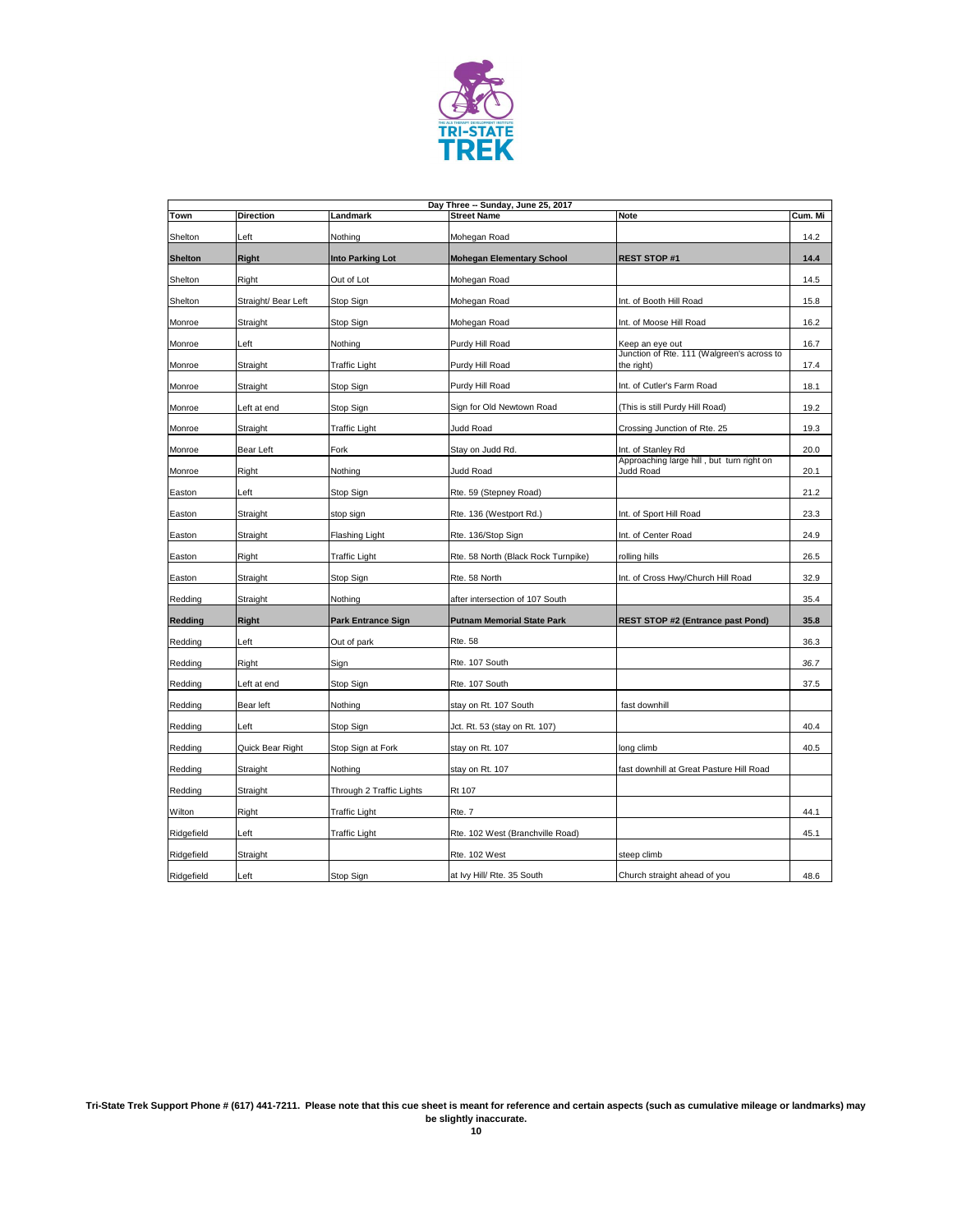

|                | Day Three -- Sunday, June 25, 2017 |                           |                                     |                                                          |         |  |  |
|----------------|------------------------------------|---------------------------|-------------------------------------|----------------------------------------------------------|---------|--|--|
| Town           | <b>Direction</b>                   | Landmark                  | <b>Street Name</b>                  | <b>Note</b>                                              | Cum. Mi |  |  |
| Shelton        | Left                               | Nothing                   | Mohegan Road                        |                                                          | 14.2    |  |  |
| <b>Shelton</b> | <b>Right</b>                       | <b>Into Parking Lot</b>   | <b>Mohegan Elementary School</b>    | <b>REST STOP#1</b>                                       | 14.4    |  |  |
| Shelton        | Right                              | Out of Lot                | Mohegan Road                        |                                                          | 14.5    |  |  |
| Shelton        | Straight/ Bear Left                | Stop Sign                 | Mohegan Road                        | Int. of Booth Hill Road                                  | 15.8    |  |  |
| Monroe         | Straight                           | Stop Sign                 | Mohegan Road                        | Int. of Moose Hill Road                                  | 16.2    |  |  |
| Monroe         | Left                               | Nothing                   | Purdy Hill Road                     | Keep an eye out                                          | 16.7    |  |  |
| Monroe         | Straight                           | <b>Traffic Light</b>      | Purdy Hill Road                     | Junction of Rte. 111 (Walgreen's across to<br>the right) | 17.4    |  |  |
| Monroe         | Straight                           | Stop Sign                 | Purdy Hill Road                     | Int. of Cutler's Farm Road                               | 18.1    |  |  |
| Monroe         | Left at end                        | Stop Sign                 | Sign for Old Newtown Road           | (This is still Purdy Hill Road)                          | 19.2    |  |  |
| Monroe         | Straight                           | <b>Traffic Light</b>      | Judd Road                           | Crossing Junction of Rte. 25                             | 19.3    |  |  |
| Monroe         | <b>Bear Left</b>                   | Fork                      | Stay on Judd Rd.                    | Int. of Stanley Rd                                       | 20.0    |  |  |
| Monroe         | Right                              | Nothing                   | Judd Road                           | Approaching large hill, but turn right on<br>Judd Road   | 20.1    |  |  |
| Easton         | Left                               | Stop Sign                 | Rte. 59 (Stepney Road)              |                                                          | 21.2    |  |  |
| Easton         | Straight                           | stop sign                 | Rte. 136 (Westport Rd.)             | Int. of Sport Hill Road                                  | 23.3    |  |  |
| Easton         | Straight                           | Flashing Light            | Rte. 136/Stop Sign                  | Int. of Center Road                                      | 24.9    |  |  |
| Easton         | Right                              | <b>Traffic Light</b>      | Rte. 58 North (Black Rock Turnpike) | rolling hills                                            | 26.5    |  |  |
| Easton         | Straight                           | Stop Sign                 | Rte. 58 North                       | Int. of Cross Hwy/Church Hill Road                       | 32.9    |  |  |
| Redding        | Straight                           | Nothing                   | after intersection of 107 South     |                                                          | 35.4    |  |  |
| <b>Redding</b> | <b>Right</b>                       | <b>Park Entrance Sign</b> | <b>Putnam Memorial State Park</b>   | <b>REST STOP #2 (Entrance past Pond)</b>                 | 35.8    |  |  |
| Redding        | Left                               | Out of park               | <b>Rte. 58</b>                      |                                                          | 36.3    |  |  |
| Redding        | Right                              | Sign                      | Rte. 107 South                      |                                                          | 36.7    |  |  |
| Redding        | Left at end                        | Stop Sign                 | Rte. 107 South                      |                                                          | 37.5    |  |  |
| Redding        | Bear left                          | Nothing                   | stay on Rt. 107 South               | fast downhill                                            |         |  |  |
| Redding        | Left                               | Stop Sign                 | Jct. Rt. 53 (stay on Rt. 107)       |                                                          | 40.4    |  |  |
| Redding        | Quick Bear Right                   | Stop Sign at Fork         | stay on Rt. 107                     | long climb                                               | 40.5    |  |  |
| Redding        | Straight                           | Nothing                   | stay on Rt. 107                     | fast downhill at Great Pasture Hill Road                 |         |  |  |
| Redding        | Straight                           | Through 2 Traffic Lights  | <b>Rt 107</b>                       |                                                          |         |  |  |
| Wilton         | Right                              | <b>Traffic Light</b>      | Rte. 7                              |                                                          | 44.1    |  |  |
| Ridgefield     | Left                               | <b>Traffic Light</b>      | Rte. 102 West (Branchville Road)    |                                                          | 45.1    |  |  |
| Ridgefield     | Straight                           |                           | Rte. 102 West                       | steep climb                                              |         |  |  |
| Ridgefield     | Left                               | Stop Sign                 | at Ivy Hill/ Rte. 35 South          | Church straight ahead of you                             | 48.6    |  |  |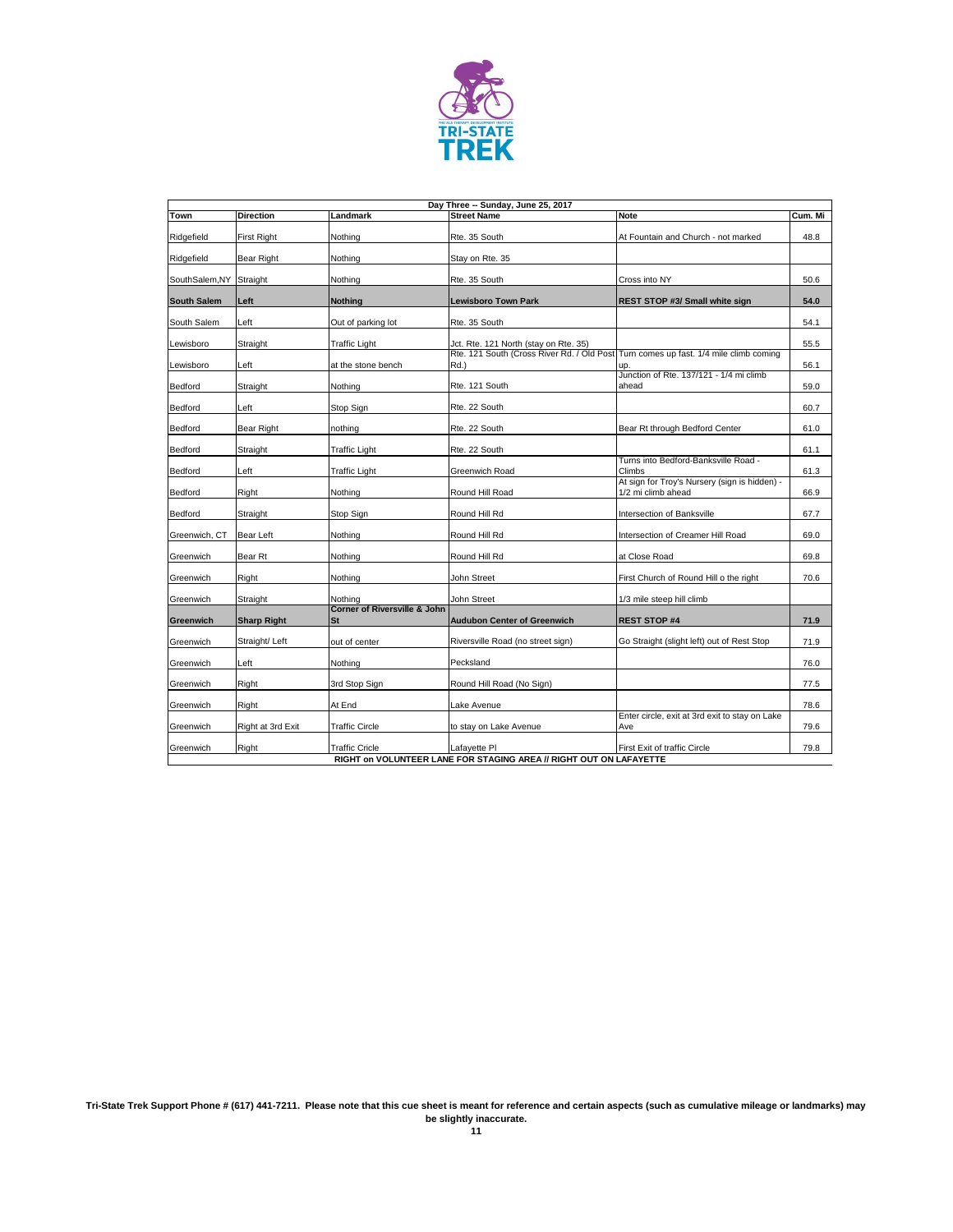

| Day Three -- Sunday, June 25, 2017 |                    |                                               |                                                                    |                                                                                      |         |  |
|------------------------------------|--------------------|-----------------------------------------------|--------------------------------------------------------------------|--------------------------------------------------------------------------------------|---------|--|
| Town                               | <b>Direction</b>   | Landmark                                      | <b>Street Name</b>                                                 | <b>Note</b>                                                                          | Cum. Mi |  |
| Ridgefield                         | First Right        | Nothing                                       | Rte. 35 South                                                      | At Fountain and Church - not marked                                                  | 48.8    |  |
| Ridgefield                         | <b>Bear Right</b>  | Nothing                                       | Stay on Rte. 35                                                    |                                                                                      |         |  |
| SouthSalem, NY                     | Straight           | Nothing                                       | Rte. 35 South                                                      | Cross into NY                                                                        | 50.6    |  |
| <b>South Salem</b>                 | Left               | <b>Nothing</b>                                | <b>Lewisboro Town Park</b>                                         | <b>REST STOP #3/ Small white sign</b>                                                | 54.0    |  |
| South Salem                        | Left               | Out of parking lot                            | Rte. 35 South                                                      |                                                                                      | 54.1    |  |
| Lewisboro                          | Straight           | Traffic Light                                 | Jct. Rte. 121 North (stay on Rte. 35)                              |                                                                                      | 55.5    |  |
| Lewisboro                          | Left               | at the stone bench                            | Rd.)                                                               | Rte. 121 South (Cross River Rd. / Old Post Turn comes up fast. 1/4 mile climb coming | 56.1    |  |
| <b>Bedford</b>                     | Straight           | Nothing                                       | Rte. 121 South                                                     | Junction of Rte. 137/121 - 1/4 mi climb<br>ahead                                     | 59.0    |  |
| Bedford                            | Left               | Stop Sign                                     | Rte. 22 South                                                      |                                                                                      | 60.7    |  |
| <b>Bedford</b>                     | <b>Bear Right</b>  | nothing                                       | Rte. 22 South                                                      | Bear Rt through Bedford Center                                                       | 61.0    |  |
| <b>Bedford</b>                     | Straight           | Traffic Light                                 | Rte. 22 South                                                      |                                                                                      | 61.1    |  |
| <b>Bedford</b>                     | Left               | <b>Traffic Light</b>                          | Greenwich Road                                                     | Turns into Bedford-Banksville Road -<br>Climbs                                       | 61.3    |  |
| <b>Bedford</b>                     | Right              | Nothing                                       | Round Hill Road                                                    | At sign for Troy's Nursery (sign is hidden) -<br>1/2 mi climb ahead                  | 66.9    |  |
| <b>Bedford</b>                     | Straight           | Stop Sign                                     | Round Hill Rd                                                      | Intersection of Banksville                                                           | 67.7    |  |
| Greenwich, CT                      | Bear Left          | Nothing                                       | Round Hill Rd                                                      | Intersection of Creamer Hill Road                                                    | 69.0    |  |
| Greenwich                          | <b>Bear Rt</b>     | Nothing                                       | Round Hill Rd                                                      | at Close Road                                                                        | 69.8    |  |
| Greenwich                          | Right              | Nothing                                       | John Street                                                        | First Church of Round Hill o the right                                               | 70.6    |  |
| Greenwich                          | Straight           | Nothina                                       | John Street                                                        | 1/3 mile steep hill climb                                                            |         |  |
| Greenwich                          | <b>Sharp Right</b> | <b>Corner of Riversville &amp; John</b><br>St | <b>Audubon Center of Greenwich</b>                                 | <b>REST STOP #4</b>                                                                  | 71.9    |  |
| Greenwich                          | Straight/Left      | out of center                                 | Riversville Road (no street sign)                                  | Go Straight (slight left) out of Rest Stop                                           | 71.9    |  |
| Greenwich                          | Left               | Nothing                                       | Pecksland                                                          |                                                                                      | 76.0    |  |
| Greenwich                          | Right              | 3rd Stop Sign                                 | Round Hill Road (No Sign)                                          |                                                                                      | 77.5    |  |
| Greenwich                          | Right              | At End                                        | Lake Avenue                                                        |                                                                                      | 78.6    |  |
| Greenwich                          | Right at 3rd Exit  | <b>Traffic Circle</b>                         | to stay on Lake Avenue                                             | Enter circle, exit at 3rd exit to stay on Lake<br>Ave                                | 79.6    |  |
| Greenwich                          | Right              | <b>Traffic Cricle</b>                         | Lafayette Pl                                                       | <b>First Exit of traffic Circle</b>                                                  | 79.8    |  |
|                                    |                    |                                               | RIGHT on VOLUNTEER LANE FOR STAGING AREA // RIGHT OUT ON LAFAYETTE |                                                                                      |         |  |